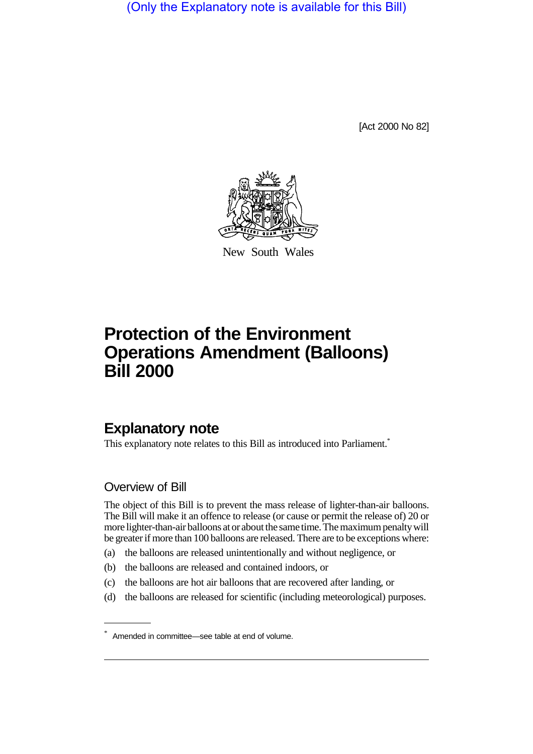(Only the Explanatory note is available for this Bill)

[Act 2000 No 82]



New South Wales

# **Protection of the Environment Operations Amendment (Balloons) Bill 2000**

## **Explanatory note**

This explanatory note relates to this Bill as introduced into Parliament.<sup>\*</sup>

## Overview of Bill

The object of this Bill is to prevent the mass release of lighter-than-air balloons. The Bill will make it an offence to release (or cause or permit the release of) 20 or more lighter-than-air balloons at or about the same time. The maximum penalty will be greater if more than 100 balloons are released. There are to be exceptions where:

- (a) the balloons are released unintentionally and without negligence, or
- (b) the balloons are released and contained indoors, or
- (c) the balloons are hot air balloons that are recovered after landing, or
- (d) the balloons are released for scientific (including meteorological) purposes.

<sup>\*</sup> Amended in committee—see table at end of volume.